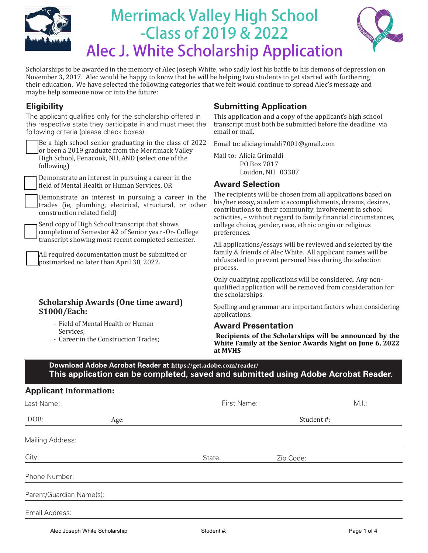

# **Merrimack Valley High School -Class of 2019 & 2022 Alec J. White Scholarship Application**



Scholarships to be awarded in the memory of Alec Joseph White, who sadly lost his battle to his demons of depression on November 3, 2017. Alec would be happy to know that he will be helping two students to get started with furthering their education. We have selected the following categories that we felt would continue to spread Alec's message and [maybe help som](https://get.adobe.com/reader/://get.adobe.com/reader/otherversions/Scholarships)eone now or into the future:

# **Eligibility**

The applicant qualifies only for the scholarship offered in the respective state they participate in and must meet the following criteria (please check boxes):

Be a high school senior graduating in the class of 2022 or been a 2019 graduate from the Merrimack Valley High School, Penacook, NH, AND (select one of the following)

Demonstrate an interest in pursuing a career in the field of Mental Health or Human Services, OR

Demonstrate an interest in pursuing a career in the trades (ie, plumbing, electrical, structural, or other construction related field)

Send copy of High School transcript that shows completion of Semester #2 of Senior year -Or- College transcript showing most recent completed semester.

All required documentation must be submitted or postmarked no later than April 30, 2022.

#### **Scholarship Awards (One time award) \$1000/Each:**

- Field of Mental Health or Human Services;
- Career in the Construction Trades;

# **Submitting Application**

This application and a copy of the applicant's high school transcript must both be submitted before the deadline via email or mail.

Email to: aliciagrimaldi7001@gmail.com

Mail to: Alicia Grimaldi PO Box 7817 Loudon, NH 03307

#### **Award Selection**

The recipients will be chosen from all applications based on his/her essay, academic accomplishments, dreams, desires, contributions to their community, involvement in school activities, – without regard to family financial circumstances, college choice, gender, race, ethnic origin or religious preferences.

All applications/essays will be reviewed and selected by the family & friends of Alec White. All applicant names will be obfuscated to prevent personal bias during the selection process.

Only qualifying applications will be considered. Any nonqualified application will be removed from consideration for the scholarships.

Spelling and grammar are important factors when considering applications.

#### **Award Presentation**

**:Recipients of the Scholarships will be announced by the White Family at the Senior Awards Night on June 6, 2022 at MVHS** 

**Download Adobe Acrobat Reader at https://get.adobe.com/reader/ This application can be completed, saved [and submitted using Adobe Acrobat](https://get.adobe.com/reader/://get.adobe.com/reader/otherversions/Scholarships) Reader.**

#### **Applicant Information:**

| Last Name:               |      | First Name: |           | M.l.: |
|--------------------------|------|-------------|-----------|-------|
| DOB:                     | Age: | Student #:  |           |       |
| Mailing Address:         |      |             |           |       |
| City:                    |      | State:      | Zip Code: |       |
| Phone Number:            |      |             |           |       |
| Parent/Guardian Name(s): |      |             |           |       |
| Email Address:           |      |             |           |       |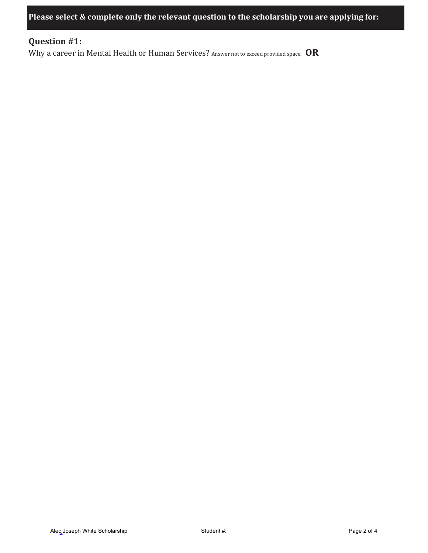**Please select & complete only the relevant question to the scholarship you are applying for:**

# **Question #1:**

Why a career in Mental Health or Human Services? Answer not to exceed provided space. **OR**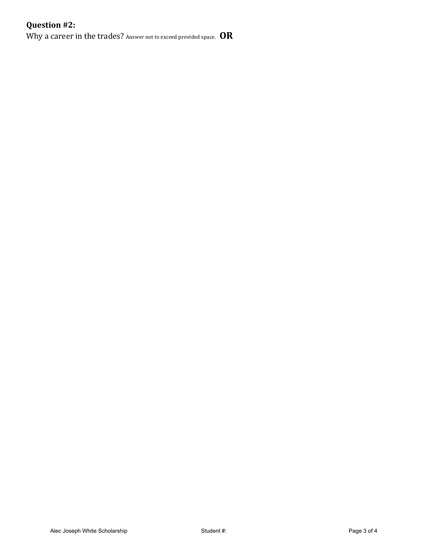# **Question #2:**

Why a career in the trades? Answer not to exceed provided space. **OR**